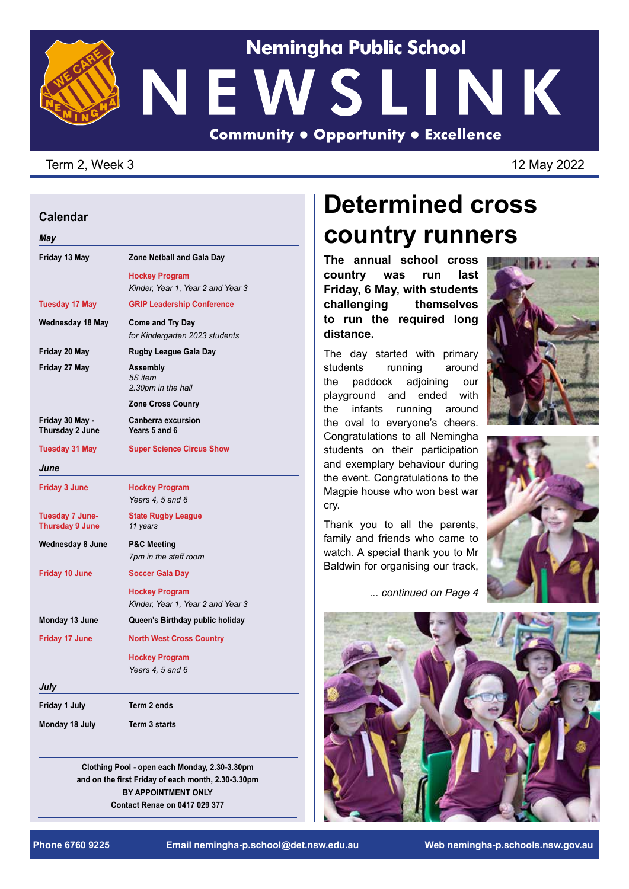

### Term 2, Week 3 12 May 2022

#### **Calendar**

*May*

| Zone Netball and Gala Day                                  |
|------------------------------------------------------------|
| <b>Hockey Program</b><br>Kinder, Year 1, Year 2 and Year 3 |
| <b>GRIP Leadership Conference</b>                          |
| <b>Come and Try Day</b><br>for Kindergarten 2023 students  |
| <b>Rugby League Gala Day</b>                               |
| Assembly<br>5S item<br>2.30pm in the hall                  |
| <b>Zone Cross Counry</b>                                   |
| <b>Canberra excursion</b><br>Years 5 and 6                 |
| <b>Super Science Circus Show</b>                           |
|                                                            |
| <b>Hockey Program</b><br>Years 4, 5 and 6                  |
| <b>State Rugby League</b><br>11 years                      |
| <b>P&amp;C Meeting</b><br>7pm in the staff room            |
| <b>Soccer Gala Day</b>                                     |
| <b>Hockey Program</b><br>Kinder, Year 1, Year 2 and Year 3 |
| Queen's Birthday public holiday                            |
| <b>North West Cross Country</b>                            |
| <b>Hockey Program</b><br>Years 4, 5 and 6                  |
|                                                            |
| Term 2 ends                                                |
| <b>Term 3 starts</b>                                       |
|                                                            |

**Clothing Pool - open each Monday, 2.30-3.30pm and on the first Friday of each month, 2.30-3.30pm BY APPOINTMENT ONLY Contact Renae on 0417 029 377**

## **Determined cross country runners**

**The annual school cross country was run last Friday, 6 May, with students challenging themselves to run the required long distance.** 

The day started with primary students running around the paddock adjoining our playground and ended with the infants running around the oval to everyone's cheers. Congratulations to all Nemingha students on their participation and exemplary behaviour during the event. Congratulations to the Magpie house who won best war cry.

Thank you to all the parents, family and friends who came to watch. A special thank you to Mr Baldwin for organising our track,

*... continued on Page 4*





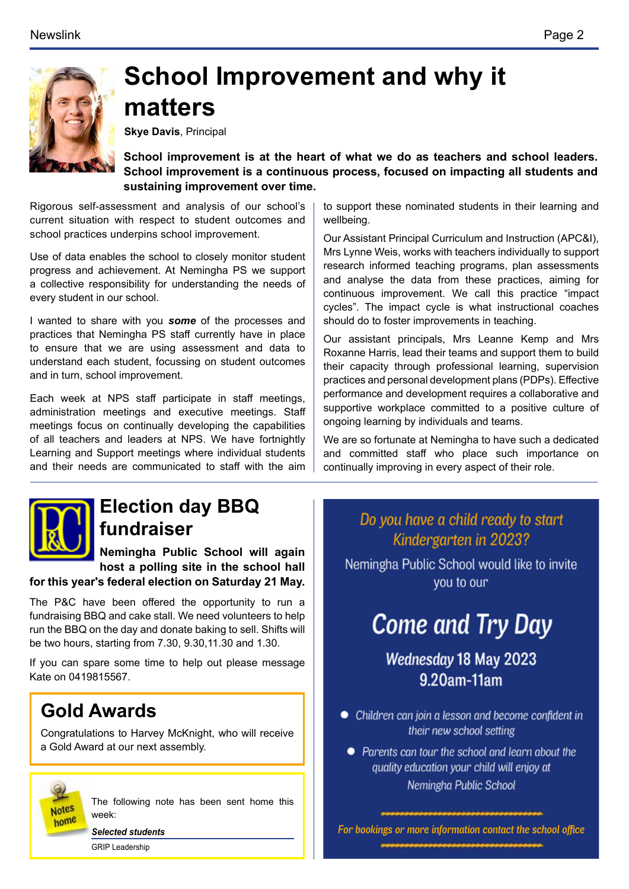

## **School Improvement and why it matters**

**Skye Davis**, Principal

**School improvement is at the heart of what we do as teachers and school leaders. School improvement is a continuous process, focused on impacting all students and sustaining improvement over time.** 

Rigorous self-assessment and analysis of our school's current situation with respect to student outcomes and school practices underpins school improvement.

Use of data enables the school to closely monitor student progress and achievement. At Nemingha PS we support a collective responsibility for understanding the needs of every student in our school.

I wanted to share with you *some* of the processes and practices that Nemingha PS staff currently have in place to ensure that we are using assessment and data to understand each student, focussing on student outcomes and in turn, school improvement.

Each week at NPS staff participate in staff meetings, administration meetings and executive meetings. Staff meetings focus on continually developing the capabilities of all teachers and leaders at NPS. We have fortnightly Learning and Support meetings where individual students and their needs are communicated to staff with the aim



Our Assistant Principal Curriculum and Instruction (APC&I), Mrs Lynne Weis, works with teachers individually to support research informed teaching programs, plan assessments and analyse the data from these practices, aiming for continuous improvement. We call this practice "impact cycles". The impact cycle is what instructional coaches should do to foster improvements in teaching.

Our assistant principals, Mrs Leanne Kemp and Mrs Roxanne Harris, lead their teams and support them to build their capacity through professional learning, supervision practices and personal development plans (PDPs). Effective performance and development requires a collaborative and supportive workplace committed to a positive culture of ongoing learning by individuals and teams.

We are so fortunate at Nemingha to have such a dedicated and committed staff who place such importance on continually improving in every aspect of their role.



## **Election day BBQ fundraiser**

**Nemingha Public School will again host a polling site in the school hall** 

**for this year's federal election on Saturday 21 May.** 

The P&C have been offered the opportunity to run a fundraising BBQ and cake stall. We need volunteers to help run the BBQ on the day and donate baking to sell. Shifts will be two hours, starting from 7.30, 9.30,11.30 and 1.30.

If you can spare some time to help out please message Kate on 0419815567.

### **Gold Awards**

Congratulations to Harvey McKnight, who will receive a Gold Award at our next assembly.



The following note has been sent home this week:

*Selected students* GRIP Leadership

Do you have a child ready to start Kindergarten in 2023?

Nemingha Public School would like to invite you to our

## **Come and Try Day**

Wednesday 18 May 2023 9.20am-11am

- Children can join a lesson and become confident in their new school setting
	- Parents can tour the school and learn about the quality education your child will enjoy at Nemingha Public School

*For bookings or more information contact the school office*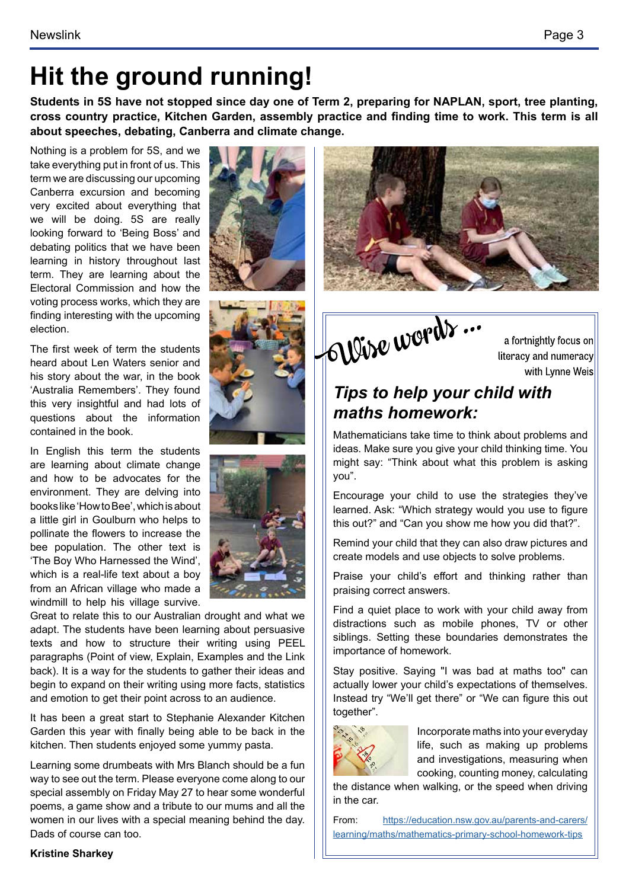## **Hit the ground running!**

**Students in 5S have not stopped since day one of Term 2, preparing for NAPLAN, sport, tree planting, cross country practice, Kitchen Garden, assembly practice and finding time to work. This term is all about speeches, debating, Canberra and climate change.**

Nothing is a problem for 5S, and we take everything put in front of us. This term we are discussing our upcoming Canberra excursion and becoming very excited about everything that we will be doing. 5S are really looking forward to 'Being Boss' and debating politics that we have been learning in history throughout last term. They are learning about the Electoral Commission and how the voting process works, which they are finding interesting with the upcoming election.

The first week of term the students heard about Len Waters senior and his story about the war, in the book 'Australia Remembers'. They found this very insightful and had lots of questions about the information contained in the book.

In English this term the students are learning about climate change and how to be advocates for the environment. They are delving into books like 'How to Bee', which is about a little girl in Goulburn who helps to pollinate the flowers to increase the bee population. The other text is 'The Boy Who Harnessed the Wind', which is a real-life text about a boy from an African village who made a windmill to help his village survive.



It has been a great start to Stephanie Alexander Kitchen Garden this year with finally being able to be back in the kitchen. Then students enjoyed some yummy pasta.

Learning some drumbeats with Mrs Blanch should be a fun way to see out the term. Please everyone come along to our special assembly on Friday May 27 to hear some wonderful poems, a game show and a tribute to our mums and all the women in our lives with a special meaning behind the day. Dads of course can too.











a fortnightly focus on literacy and numeracy with Lynne Weis

### *Tips to help your child with maths homework:*

Mathematicians take time to think about problems and ideas. Make sure you give your child thinking time. You might say: "Think about what this problem is asking you".

Encourage your child to use the strategies they've learned. Ask: "Which strategy would you use to figure this out?" and "Can you show me how you did that?".

Remind your child that they can also draw pictures and create models and use objects to solve problems.

Praise your child's effort and thinking rather than praising correct answers.

Find a quiet place to work with your child away from distractions such as mobile phones, TV or other siblings. Setting these boundaries demonstrates the importance of homework.

Stay positive. Saying "I was bad at maths too" can actually lower your child's expectations of themselves. Instead try "We'll get there" or "We can figure this out together".



Incorporate maths into your everyday life, such as making up problems and investigations, measuring when cooking, counting money, calculating

the distance when walking, or the speed when driving in the car.

From: [https://education.nsw.gov.au/parents-and-carers/](https://education.nsw.gov.au/parents-and-carers/learning/maths/mathematics-primary-school-homework-tips) [learning/maths/mathematics-primary-school-homework-tips](https://education.nsw.gov.au/parents-and-carers/learning/maths/mathematics-primary-school-homework-tips)

### **Kristine Sharkey**